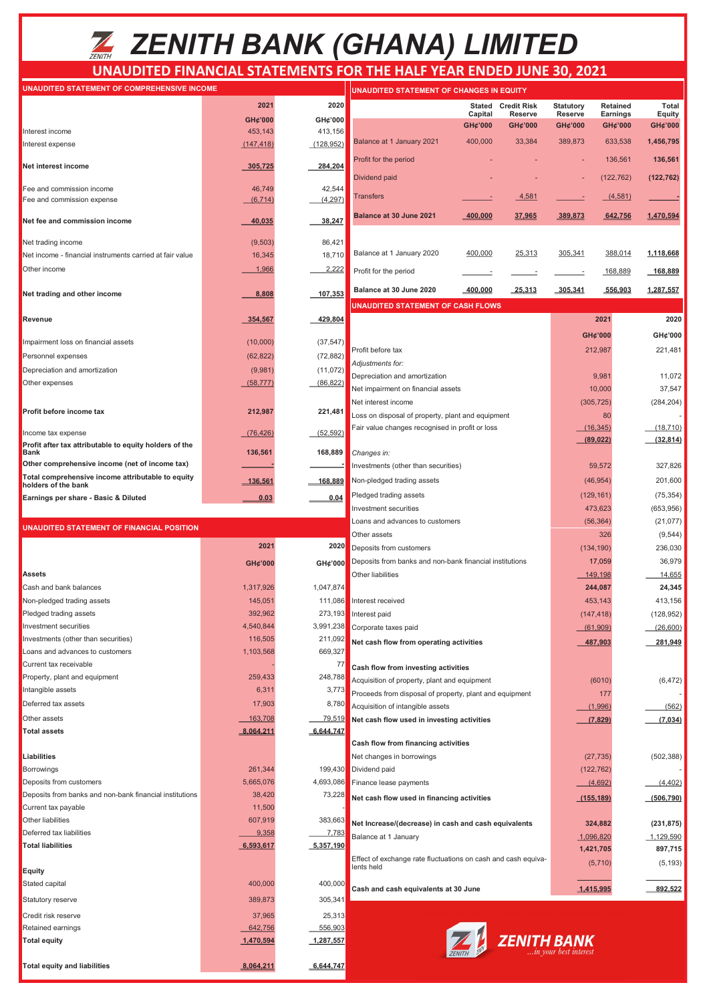# *ZENITH BANK (GHANA) LIMITED*

### **UNAUDITED FINANCIAL STATEMENTS FOR THE HALF YEAR ENDED JUNE 30, 2021**

| UNAUDITED STATEMENT OF COMPREHENSIVE INCOME                              |                      |                           | UNAUDITED STATEMENT OF CHANGES IN EQUITY                                                             |                    |                    |                    |                     |                   |
|--------------------------------------------------------------------------|----------------------|---------------------------|------------------------------------------------------------------------------------------------------|--------------------|--------------------|--------------------|---------------------|-------------------|
|                                                                          | 2021                 | 2020                      |                                                                                                      | Stated             | <b>Credit Risk</b> | <b>Statutory</b>   | Retained            | <b>Total</b>      |
|                                                                          | GH¢'000              | GH¢'000                   |                                                                                                      | Capital<br>GH¢'000 | Reserve<br>GH¢'000 | Reserve<br>GH¢'000 | Earnings<br>GH¢'000 | Equity<br>GH¢'000 |
| Interest income                                                          | 453,143              | 413,156                   | Balance at 1 January 2021                                                                            | 400,000            | 33,384             | 389,873            | 633,538             | 1,456,795         |
| Interest expense                                                         | (147, 418)           | (128, 952)                |                                                                                                      |                    |                    |                    |                     |                   |
| Net interest income                                                      | 305,725              | 284,204                   | Profit for the period                                                                                |                    |                    |                    | 136,561             | 136,561           |
|                                                                          |                      |                           | <b>Dividend paid</b>                                                                                 |                    |                    |                    | (122, 762)          | (122, 762)        |
| Fee and commission income<br>Fee and commission expense                  | 46,749<br>(6, 714)   | 42,544<br>(4, 297)        | <b>Transfers</b>                                                                                     |                    | 4,581              |                    | (4,581)             |                   |
|                                                                          |                      |                           |                                                                                                      |                    |                    |                    |                     |                   |
| Net fee and commission income                                            | 40,035               | 38,247                    | Balance at 30 June 2021                                                                              | $-400,000$         | 37,965             | 389,873            | 642,756             | 1,470,594         |
| Net trading income                                                       | (9, 503)             | 86,421                    |                                                                                                      |                    |                    |                    |                     |                   |
| Net income - financial instruments carried at fair value                 | 16,345               | 18,710                    | Balance at 1 January 2020                                                                            | 400,000            | 25,313             | 305,341            | 388,014             | 1,118,668         |
| Other income                                                             | 1,966                | 2,222                     | Profit for the period                                                                                |                    |                    |                    | 168,889             | 168,889           |
| Net trading and other income                                             | 8,808                | 107,353                   | Balance at 30 June 2020                                                                              | 400,000            | 25,313             | 305,341            | 556,903             | 1,287,557         |
|                                                                          |                      |                           | <b>UNAUDITED STATEMENT OF CASH FLOWS</b>                                                             |                    |                    |                    |                     |                   |
| Revenue                                                                  | 354,567              | 429,804                   |                                                                                                      |                    |                    |                    | 2021                | 2020              |
| Impairment loss on financial assets                                      | (10,000)             | (37, 547)                 |                                                                                                      |                    |                    |                    | GH¢'000             | GH¢'000           |
| Personnel expenses                                                       | (62, 822)            | (72, 882)                 | Profit before tax                                                                                    |                    |                    |                    | 212,987             | 221,481           |
| Depreciation and amortization                                            | (9,981)              | (11, 072)                 | Adjustments for:                                                                                     |                    |                    |                    |                     |                   |
| Other expenses                                                           | (58, 777)            | (86, 822)                 | Depreciation and amortization                                                                        |                    |                    |                    | 9,981               | 11,072            |
|                                                                          |                      |                           | Net impairment on financial assets                                                                   |                    |                    |                    | 10,000              | 37,547            |
| Profit before income tax                                                 | 212,987              | 221,481                   | Net interest income                                                                                  |                    |                    |                    | (305, 725)<br>80    | (284, 204)        |
|                                                                          |                      |                           | Loss on disposal of property, plant and equipment<br>Fair value changes recognised in profit or loss |                    |                    |                    | (16, 345)           | (18, 710)         |
| Income tax expense                                                       | (76, 426)            | (52, 592)                 |                                                                                                      |                    |                    |                    | (89, 022)           | (32, 814)         |
| Profit after tax attributable to equity holders of the<br>Bank           | 136,561              | 168,889                   | Changes in:                                                                                          |                    |                    |                    |                     |                   |
| Other comprehensive income (net of income tax)                           |                      |                           | Investments (other than securities)                                                                  |                    |                    |                    | 59,572              | 327,826           |
| Total comprehensive income attributable to equity<br>holders of the bank | <u>136,561</u>       | 168,889                   | Non-pledged trading assets                                                                           |                    |                    |                    | (46, 954)           | 201,600           |
| Earnings per share - Basic & Diluted                                     | 0.03                 | 0.04                      | Pledged trading assets                                                                               |                    |                    |                    | (129, 161)          | (75, 354)         |
|                                                                          |                      |                           | Investment securities                                                                                |                    |                    |                    | 473,623             | (653, 956)        |
|                                                                          |                      |                           | Loans and advances to customers                                                                      |                    |                    |                    | (56, 364)           | (21, 077)         |
| UNAUDITED STATEMENT OF FINANCIAL POSITION                                |                      |                           | Other assets                                                                                         |                    |                    |                    | 326                 | (9, 544)          |
|                                                                          | 2021                 | 2020                      | Deposits from customers                                                                              |                    |                    |                    | (134, 190)          | 236,030           |
|                                                                          | GH¢'000              | GH¢'000                   | Deposits from banks and non-bank financial institutions                                              |                    |                    |                    | 17,059              | 36,979            |
| <b>Assets</b>                                                            |                      |                           | Other liabilities                                                                                    |                    |                    |                    | 149,198             | 14,655            |
| Cash and bank balances                                                   | 1,317,926            | 1,047,874                 |                                                                                                      |                    |                    |                    | 244,087             | 24,345            |
| Non-pledged trading assets                                               | 145,051              | 111,086                   | Interest received                                                                                    |                    |                    |                    | 453,143             | 413,156           |
| Pledged trading assets                                                   | 392,962              |                           | 273,193 Interest paid                                                                                |                    |                    |                    | (147, 418)          | (128, 952)        |
| Investment securities                                                    | 4,540,844            | 3,991,238                 | Corporate taxes paid                                                                                 |                    |                    |                    | (61,909)            | (26,600)          |
| Investments (other than securities)<br>Loans and advances to customers   | 116,505<br>1,103,568 | 211,092<br>669,327        | Net cash flow from operating activities                                                              |                    |                    |                    | 487,903             | 281,949           |
| Current tax receivable                                                   |                      | 77                        |                                                                                                      |                    |                    |                    |                     |                   |
| Property, plant and equipment                                            | 259,433              | 248,788                   | Cash flow from investing activities                                                                  |                    |                    |                    |                     |                   |
| Intangible assets                                                        | 6,311                | 3,773                     | Acquisition of property, plant and equipment                                                         |                    |                    |                    | (6010)<br>177       | (6, 472)          |
| Deferred tax assets                                                      | 17,903               | 8,780                     | Proceeds from disposal of property, plant and equipment                                              |                    |                    |                    | (1,996)             | (562)             |
| Other assets                                                             | 163,708              | 79,519                    | Acquisition of intangible assets<br>Net cash flow used in investing activities                       |                    |                    |                    | (7,829)             | (7,034)           |
| <b>Total assets</b>                                                      | <u>8,064,211</u>     | 6,644,747                 |                                                                                                      |                    |                    |                    |                     |                   |
|                                                                          |                      |                           | Cash flow from financing activities                                                                  |                    |                    |                    |                     |                   |
| Liabilities                                                              |                      |                           | Net changes in borrowings                                                                            |                    |                    |                    | (27, 735)           | (502, 388)        |
| Borrowings                                                               | 261,344              | 199,430                   | Dividend paid                                                                                        |                    |                    |                    | (122, 762)          |                   |
| Deposits from customers                                                  | 5,665,076            | 4,693,086                 | Finance lease payments                                                                               |                    |                    |                    | (4,692)             | (4, 402)          |
| Deposits from banks and non-bank financial institutions                  | 38,420               | 73,228                    | Net cash flow used in financing activities                                                           |                    |                    |                    | <u>(155,189)</u>    | (506, 790)        |
| Current tax payable                                                      | 11,500               |                           |                                                                                                      |                    |                    |                    |                     |                   |
| Other liabilities<br>Deferred tax liabilities                            | 607,919<br>9,358     | 383,663                   | Net Increase/(decrease) in cash and cash equivalents                                                 |                    |                    |                    | 324,882             | (231, 875)        |
| <b>Total liabilities</b>                                                 | 6,593,617            | <u>7,783</u><br>5,357,190 | Balance at 1 January                                                                                 |                    |                    |                    | 1,096,820           | 1,129,590         |
|                                                                          |                      |                           | Effect of exchange rate fluctuations on cash and cash equiva-                                        |                    |                    |                    | 1,421,705           | 897,715           |
| <b>Equity</b>                                                            |                      |                           | (5,710)<br>lents held                                                                                |                    |                    |                    | (5, 193)            |                   |
| Stated capital                                                           | 400,000              | 400,000                   | Cash and cash equivalents at 30 June                                                                 |                    |                    |                    | 1,415,995           | 892.522           |
| Statutory reserve                                                        | 389,873              | 305,341                   |                                                                                                      |                    |                    |                    |                     |                   |
| Credit risk reserve                                                      | 37,965               | 25,313                    |                                                                                                      |                    |                    |                    |                     |                   |
| Retained earnings                                                        | 642,756              | 556,903                   |                                                                                                      |                    |                    |                    |                     |                   |
| <b>Total equity</b>                                                      | 1,470,594            | 1,287,557                 |                                                                                                      |                    | <b>ZENITH BANK</b> |                    |                     |                   |

Total equity and liabilities **8,064,211** 6,644,747